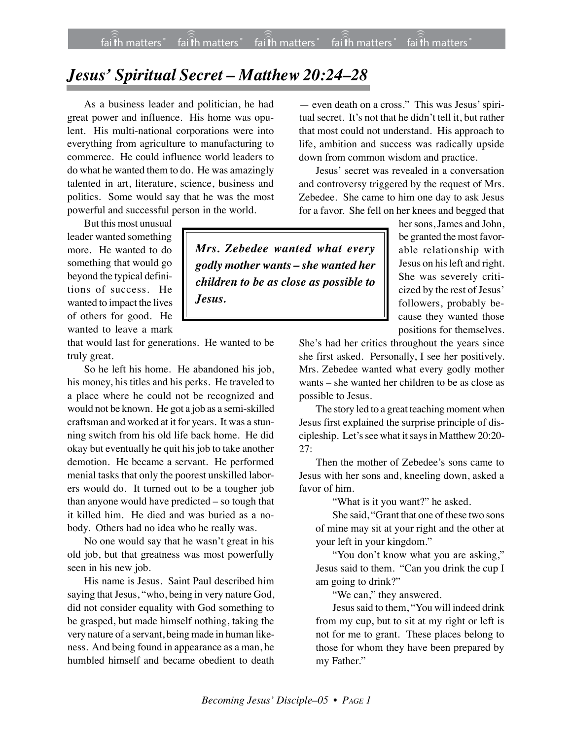## *Jesus' Spiritual Secret – Matthew 20:24–28*

As a business leader and politician, he had great power and influence. His home was opulent. His multi-national corporations were into everything from agriculture to manufacturing to commerce. He could influence world leaders to do what he wanted them to do. He was amazingly talented in art, literature, science, business and politics. Some would say that he was the most powerful and successful person in the world.

But this most unusual leader wanted something more. He wanted to do something that would go beyond the typical definitions of success. He wanted to impact the lives of others for good. He wanted to leave a mark

that would last for generations. He wanted to be truly great.

So he left his home. He abandoned his job, his money, his titles and his perks. He traveled to a place where he could not be recognized and would not be known. He got a job as a semi-skilled craftsman and worked at it for years. It was a stunning switch from his old life back home. He did okay but eventually he quit his job to take another demotion. He became a servant. He performed menial tasks that only the poorest unskilled laborers would do. It turned out to be a tougher job than anyone would have predicted – so tough that it killed him. He died and was buried as a nobody. Others had no idea who he really was.

No one would say that he wasn't great in his old job, but that greatness was most powerfully seen in his new job.

His name is Jesus. Saint Paul described him saying that Jesus, "who, being in very nature God, did not consider equality with God something to be grasped, but made himself nothing, taking the very nature of a servant, being made in human likeness. And being found in appearance as a man, he humbled himself and became obedient to death

— even death on a cross." This was Jesus' spiritual secret. It's not that he didn't tell it, but rather that most could not understand. His approach to life, ambition and success was radically upside down from common wisdom and practice.

Jesus' secret was revealed in a conversation and controversy triggered by the request of Mrs. Zebedee. She came to him one day to ask Jesus for a favor. She fell on her knees and begged that

*Mrs. Zebedee wanted what every godly mother wants – she wanted her children to be as close as possible to Jesus.*

her sons, James and John, be granted the most favorable relationship with Jesus on his left and right. She was severely criticized by the rest of Jesus' followers, probably because they wanted those positions for themselves.

She's had her critics throughout the years since she first asked. Personally, I see her positively. Mrs. Zebedee wanted what every godly mother wants – she wanted her children to be as close as possible to Jesus.

The story led to a great teaching moment when Jesus first explained the surprise principle of discipleship. Let's see what it says in Matthew 20:20-  $27:$ 

Then the mother of Zebedee's sons came to Jesus with her sons and, kneeling down, asked a favor of him.

"What is it you want?" he asked.

She said, "Grant that one of these two sons of mine may sit at your right and the other at your left in your kingdom."

"You don't know what you are asking," Jesus said to them. "Can you drink the cup I am going to drink?"

"We can," they answered.

Jesus said to them, "You will indeed drink from my cup, but to sit at my right or left is not for me to grant. These places belong to those for whom they have been prepared by my Father."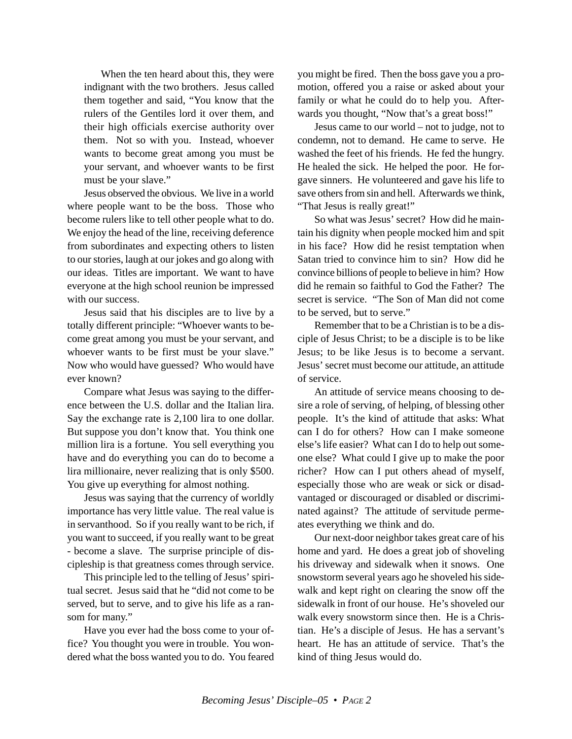When the ten heard about this, they were indignant with the two brothers. Jesus called them together and said, "You know that the rulers of the Gentiles lord it over them, and their high officials exercise authority over them. Not so with you. Instead, whoever wants to become great among you must be your servant, and whoever wants to be first must be your slave."

Jesus observed the obvious. We live in a world where people want to be the boss. Those who become rulers like to tell other people what to do. We enjoy the head of the line, receiving deference from subordinates and expecting others to listen to our stories, laugh at our jokes and go along with our ideas. Titles are important. We want to have everyone at the high school reunion be impressed with our success.

Jesus said that his disciples are to live by a totally different principle: "Whoever wants to become great among you must be your servant, and whoever wants to be first must be your slave." Now who would have guessed? Who would have ever known?

Compare what Jesus was saying to the difference between the U.S. dollar and the Italian lira. Say the exchange rate is 2,100 lira to one dollar. But suppose you don't know that. You think one million lira is a fortune. You sell everything you have and do everything you can do to become a lira millionaire, never realizing that is only \$500. You give up everything for almost nothing.

Jesus was saying that the currency of worldly importance has very little value. The real value is in servanthood. So if you really want to be rich, if you want to succeed, if you really want to be great - become a slave. The surprise principle of discipleship is that greatness comes through service.

This principle led to the telling of Jesus' spiritual secret. Jesus said that he "did not come to be served, but to serve, and to give his life as a ransom for many."

Have you ever had the boss come to your office? You thought you were in trouble. You wondered what the boss wanted you to do. You feared you might be fired. Then the boss gave you a promotion, offered you a raise or asked about your family or what he could do to help you. Afterwards you thought, "Now that's a great boss!"

Jesus came to our world – not to judge, not to condemn, not to demand. He came to serve. He washed the feet of his friends. He fed the hungry. He healed the sick. He helped the poor. He forgave sinners. He volunteered and gave his life to save others from sin and hell. Afterwards we think, "That Jesus is really great!"

So what was Jesus' secret? How did he maintain his dignity when people mocked him and spit in his face? How did he resist temptation when Satan tried to convince him to sin? How did he convince billions of people to believe in him? How did he remain so faithful to God the Father? The secret is service. "The Son of Man did not come to be served, but to serve."

Remember that to be a Christian is to be a disciple of Jesus Christ; to be a disciple is to be like Jesus; to be like Jesus is to become a servant. Jesus' secret must become our attitude, an attitude of service.

An attitude of service means choosing to desire a role of serving, of helping, of blessing other people. It's the kind of attitude that asks: What can I do for others? How can I make someone else's life easier? What can I do to help out someone else? What could I give up to make the poor richer? How can I put others ahead of myself, especially those who are weak or sick or disadvantaged or discouraged or disabled or discriminated against? The attitude of servitude permeates everything we think and do.

Our next-door neighbor takes great care of his home and yard. He does a great job of shoveling his driveway and sidewalk when it snows. One snowstorm several years ago he shoveled his sidewalk and kept right on clearing the snow off the sidewalk in front of our house. He's shoveled our walk every snowstorm since then. He is a Christian. He's a disciple of Jesus. He has a servant's heart. He has an attitude of service. That's the kind of thing Jesus would do.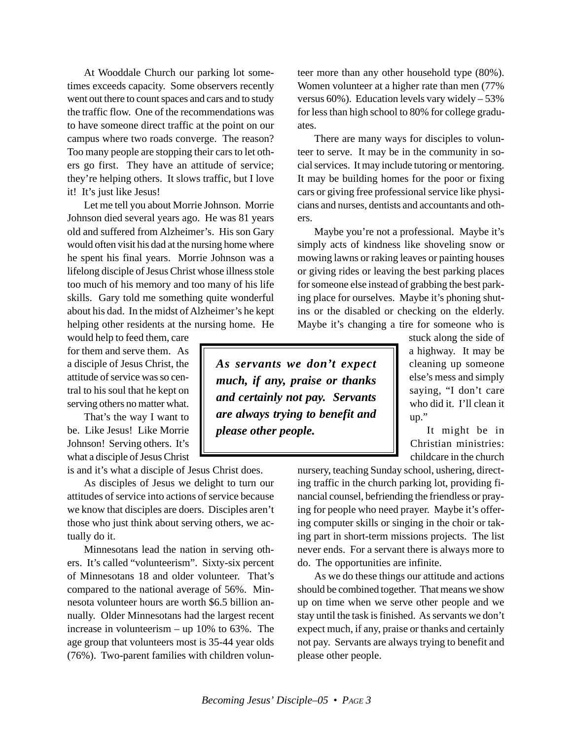At Wooddale Church our parking lot sometimes exceeds capacity. Some observers recently went out there to count spaces and cars and to study the traffic flow. One of the recommendations was to have someone direct traffic at the point on our campus where two roads converge. The reason? Too many people are stopping their cars to let others go first. They have an attitude of service; they're helping others. It slows traffic, but I love it! It's just like Jesus!

Let me tell you about Morrie Johnson. Morrie Johnson died several years ago. He was 81 years old and suffered from Alzheimer's. His son Gary would often visit his dad at the nursing home where he spent his final years. Morrie Johnson was a lifelong disciple of Jesus Christ whose illness stole too much of his memory and too many of his life skills. Gary told me something quite wonderful about his dad. In the midst of Alzheimer's he kept helping other residents at the nursing home. He

would help to feed them, care for them and serve them. As a disciple of Jesus Christ, the attitude of service was so central to his soul that he kept on serving others no matter what.

That's the way I want to be. Like Jesus! Like Morrie Johnson! Serving others. It's what a disciple of Jesus Christ

is and it's what a disciple of Jesus Christ does.

As disciples of Jesus we delight to turn our attitudes of service into actions of service because we know that disciples are doers. Disciples aren't those who just think about serving others, we actually do it.

Minnesotans lead the nation in serving others. It's called "volunteerism". Sixty-six percent of Minnesotans 18 and older volunteer. That's compared to the national average of 56%. Minnesota volunteer hours are worth \$6.5 billion annually. Older Minnesotans had the largest recent increase in volunteerism – up 10% to 63%. The age group that volunteers most is 35-44 year olds (76%). Two-parent families with children volunteer more than any other household type (80%). Women volunteer at a higher rate than men (77% versus 60%). Education levels vary widely – 53% for less than high school to 80% for college graduates.

There are many ways for disciples to volunteer to serve. It may be in the community in social services. It may include tutoring or mentoring. It may be building homes for the poor or fixing cars or giving free professional service like physicians and nurses, dentists and accountants and others.

Maybe you're not a professional. Maybe it's simply acts of kindness like shoveling snow or mowing lawns or raking leaves or painting houses or giving rides or leaving the best parking places for someone else instead of grabbing the best parking place for ourselves. Maybe it's phoning shutins or the disabled or checking on the elderly. Maybe it's changing a tire for someone who is

*As servants we don't expect much, if any, praise or thanks and certainly not pay. Servants are always trying to benefit and please other people.*

stuck along the side of a highway. It may be cleaning up someone else's mess and simply saying, "I don't care who did it. I'll clean it up."

It might be in Christian ministries: childcare in the church

nursery, teaching Sunday school, ushering, directing traffic in the church parking lot, providing financial counsel, befriending the friendless or praying for people who need prayer. Maybe it's offering computer skills or singing in the choir or taking part in short-term missions projects. The list never ends. For a servant there is always more to do. The opportunities are infinite.

As we do these things our attitude and actions should be combined together. That means we show up on time when we serve other people and we stay until the task is finished. As servants we don't expect much, if any, praise or thanks and certainly not pay. Servants are always trying to benefit and please other people.